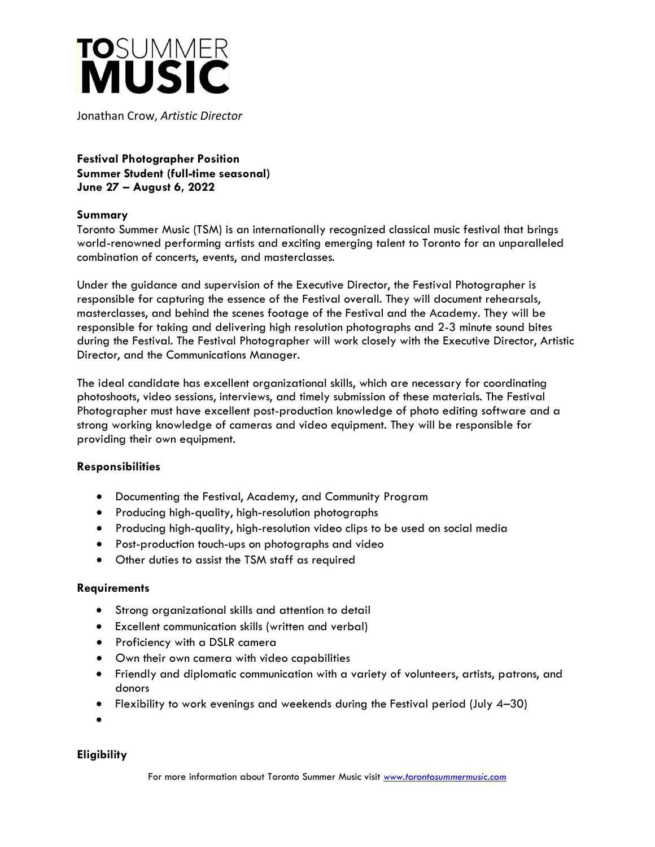

Jonathan Crow, *Artistic Director*

# **Festival Photographer Position Summer Student (full-time seasonal) June 27 – August 6, 2022**

### **Summary**

Toronto Summer Music (TSM) is an internationally recognized classical music festival that brings world-renowned performing artists and exciting emerging talent to Toronto for an unparalleled combination of concerts, events, and masterclasses.

Under the guidance and supervision of the Executive Director, the Festival Photographer is responsible for capturing the essence of the Festival overall. They will document rehearsals, masterclasses, and behind the scenes footage of the Festival and the Academy. They will be responsible for taking and delivering high resolution photographs and 2-3 minute sound bites during the Festival. The Festival Photographer will work closely with the Executive Director, Artistic Director, and the Communications Manager.

The ideal candidate has excellent organizational skills, which are necessary for coordinating photoshoots, video sessions, interviews, and timely submission of these materials. The Festival Photographer must have excellent post-production knowledge of photo editing software and a strong working knowledge of cameras and video equipment. They will be responsible for providing their own equipment.

### **Responsibilities**

- Documenting the Festival, Academy, and Community Program
- Producing high-quality, high-resolution photographs
- Producing high-quality, high-resolution video clips to be used on social media
- Post-production touch-ups on photographs and video
- Other duties to assist the TSM staff as required

### **Requirements**

- Strong organizational skills and attention to detail
- Excellent communication skills (written and verbal)
- Proficiency with a DSLR camera
- Own their own camera with video capabilities
- Friendly and diplomatic communication with a variety of volunteers, artists, patrons, and donors
- Flexibility to work evenings and weekends during the Festival period (July 4–30)
- •

# **Eligibility**